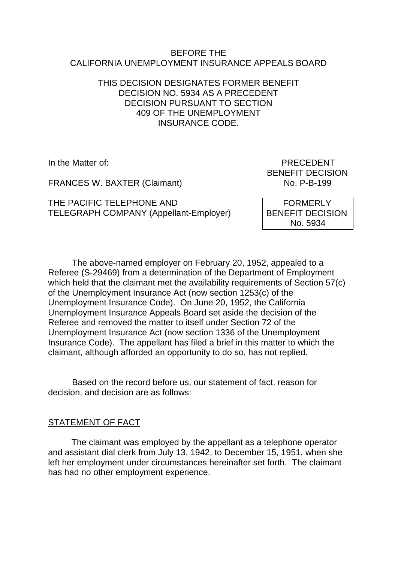#### BEFORE THE CALIFORNIA UNEMPLOYMENT INSURANCE APPEALS BOARD

# THIS DECISION DESIGNATES FORMER BENEFIT DECISION NO. 5934 AS A PRECEDENT DECISION PURSUANT TO SECTION 409 OF THE UNEMPLOYMENT INSURANCE CODE.

FRANCES W. BAXTER (Claimant)

THE PACIFIC TELEPHONE AND TELEGRAPH COMPANY (Appellant-Employer)

In the Matter of: PRECEDENT BENEFIT DECISION<br>No. P-B-199

> FORMERLY BENEFIT DECISION No. 5934

The above-named employer on February 20, 1952, appealed to a Referee (S-29469) from a determination of the Department of Employment which held that the claimant met the availability requirements of Section 57(c) of the Unemployment Insurance Act (now section 1253(c) of the Unemployment Insurance Code). On June 20, 1952, the California Unemployment Insurance Appeals Board set aside the decision of the Referee and removed the matter to itself under Section 72 of the Unemployment Insurance Act (now section 1336 of the Unemployment Insurance Code). The appellant has filed a brief in this matter to which the claimant, although afforded an opportunity to do so, has not replied.

Based on the record before us, our statement of fact, reason for decision, and decision are as follows:

### STATEMENT OF FACT

The claimant was employed by the appellant as a telephone operator and assistant dial clerk from July 13, 1942, to December 15, 1951, when she left her employment under circumstances hereinafter set forth. The claimant has had no other employment experience.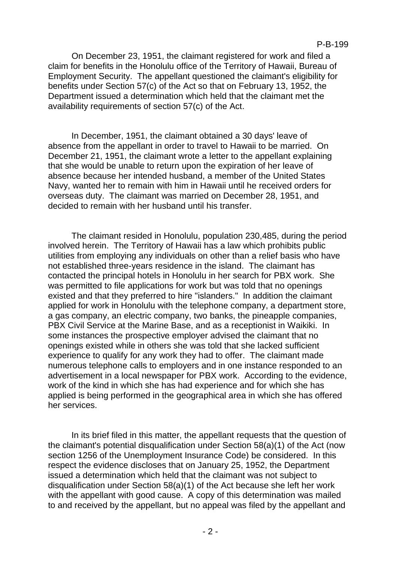On December 23, 1951, the claimant registered for work and filed a claim for benefits in the Honolulu office of the Territory of Hawaii, Bureau of Employment Security. The appellant questioned the claimant's eligibility for benefits under Section 57(c) of the Act so that on February 13, 1952, the Department issued a determination which held that the claimant met the availability requirements of section 57(c) of the Act.

In December, 1951, the claimant obtained a 30 days' leave of absence from the appellant in order to travel to Hawaii to be married. On December 21, 1951, the claimant wrote a letter to the appellant explaining that she would be unable to return upon the expiration of her leave of absence because her intended husband, a member of the United States Navy, wanted her to remain with him in Hawaii until he received orders for overseas duty. The claimant was married on December 28, 1951, and decided to remain with her husband until his transfer.

The claimant resided in Honolulu, population 230,485, during the period involved herein. The Territory of Hawaii has a law which prohibits public utilities from employing any individuals on other than a relief basis who have not established three-years residence in the island. The claimant has contacted the principal hotels in Honolulu in her search for PBX work. She was permitted to file applications for work but was told that no openings existed and that they preferred to hire "islanders." In addition the claimant applied for work in Honolulu with the telephone company, a department store, a gas company, an electric company, two banks, the pineapple companies, PBX Civil Service at the Marine Base, and as a receptionist in Waikiki. In some instances the prospective employer advised the claimant that no openings existed while in others she was told that she lacked sufficient experience to qualify for any work they had to offer. The claimant made numerous telephone calls to employers and in one instance responded to an advertisement in a local newspaper for PBX work. According to the evidence, work of the kind in which she has had experience and for which she has applied is being performed in the geographical area in which she has offered her services.

In its brief filed in this matter, the appellant requests that the question of the claimant's potential disqualification under Section 58(a)(1) of the Act (now section 1256 of the Unemployment Insurance Code) be considered. In this respect the evidence discloses that on January 25, 1952, the Department issued a determination which held that the claimant was not subject to disqualification under Section 58(a)(1) of the Act because she left her work with the appellant with good cause. A copy of this determination was mailed to and received by the appellant, but no appeal was filed by the appellant and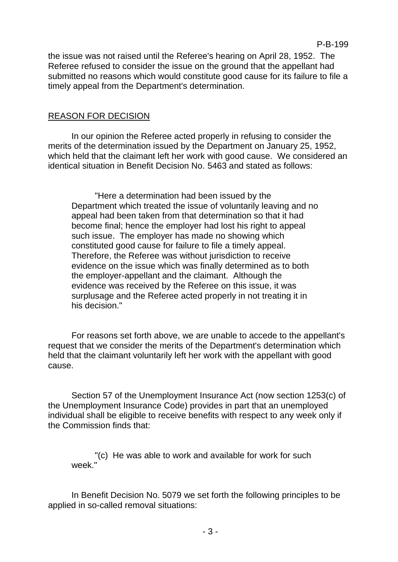the issue was not raised until the Referee's hearing on April 28, 1952. The Referee refused to consider the issue on the ground that the appellant had submitted no reasons which would constitute good cause for its failure to file a timely appeal from the Department's determination.

# REASON FOR DECISION

In our opinion the Referee acted properly in refusing to consider the merits of the determination issued by the Department on January 25, 1952, which held that the claimant left her work with good cause. We considered an identical situation in Benefit Decision No. 5463 and stated as follows:

"Here a determination had been issued by the Department which treated the issue of voluntarily leaving and no appeal had been taken from that determination so that it had become final; hence the employer had lost his right to appeal such issue. The employer has made no showing which constituted good cause for failure to file a timely appeal. Therefore, the Referee was without jurisdiction to receive evidence on the issue which was finally determined as to both the employer-appellant and the claimant. Although the evidence was received by the Referee on this issue, it was surplusage and the Referee acted properly in not treating it in his decision."

For reasons set forth above, we are unable to accede to the appellant's request that we consider the merits of the Department's determination which held that the claimant voluntarily left her work with the appellant with good cause.

Section 57 of the Unemployment Insurance Act (now section 1253(c) of the Unemployment Insurance Code) provides in part that an unemployed individual shall be eligible to receive benefits with respect to any week only if the Commission finds that:

"(c) He was able to work and available for work for such week."

In Benefit Decision No. 5079 we set forth the following principles to be applied in so-called removal situations: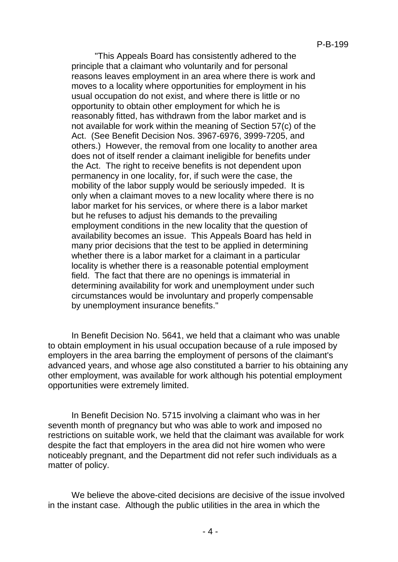"This Appeals Board has consistently adhered to the principle that a claimant who voluntarily and for personal reasons leaves employment in an area where there is work and moves to a locality where opportunities for employment in his usual occupation do not exist, and where there is little or no opportunity to obtain other employment for which he is reasonably fitted, has withdrawn from the labor market and is not available for work within the meaning of Section 57(c) of the Act. (See Benefit Decision Nos. 3967-6976, 3999-7205, and others.) However, the removal from one locality to another area does not of itself render a claimant ineligible for benefits under the Act. The right to receive benefits is not dependent upon permanency in one locality, for, if such were the case, the mobility of the labor supply would be seriously impeded. It is only when a claimant moves to a new locality where there is no labor market for his services, or where there is a labor market but he refuses to adjust his demands to the prevailing employment conditions in the new locality that the question of availability becomes an issue. This Appeals Board has held in many prior decisions that the test to be applied in determining whether there is a labor market for a claimant in a particular locality is whether there is a reasonable potential employment field. The fact that there are no openings is immaterial in determining availability for work and unemployment under such circumstances would be involuntary and properly compensable by unemployment insurance benefits."

In Benefit Decision No. 5641, we held that a claimant who was unable to obtain employment in his usual occupation because of a rule imposed by employers in the area barring the employment of persons of the claimant's advanced years, and whose age also constituted a barrier to his obtaining any other employment, was available for work although his potential employment opportunities were extremely limited.

In Benefit Decision No. 5715 involving a claimant who was in her seventh month of pregnancy but who was able to work and imposed no restrictions on suitable work, we held that the claimant was available for work despite the fact that employers in the area did not hire women who were noticeably pregnant, and the Department did not refer such individuals as a matter of policy.

We believe the above-cited decisions are decisive of the issue involved in the instant case. Although the public utilities in the area in which the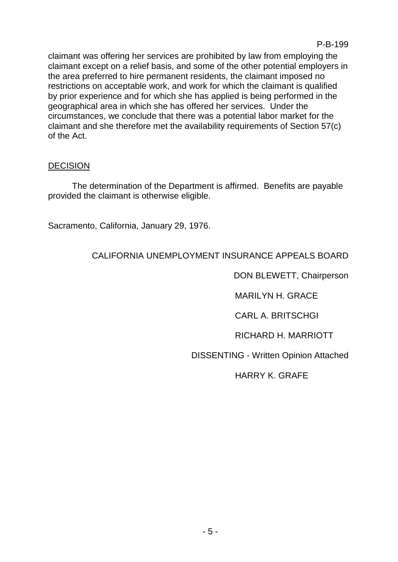claimant was offering her services are prohibited by law from employing the claimant except on a relief basis, and some of the other potential employers in the area preferred to hire permanent residents, the claimant imposed no restrictions on acceptable work, and work for which the claimant is qualified by prior experience and for which she has applied is being performed in the geographical area in which she has offered her services. Under the circumstances, we conclude that there was a potential labor market for the claimant and she therefore met the availability requirements of Section 57(c) of the Act.

### **DECISION**

The determination of the Department is affirmed. Benefits are payable provided the claimant is otherwise eligible.

Sacramento, California, January 29, 1976.

# CALIFORNIA UNEMPLOYMENT INSURANCE APPEALS BOARD

DON BLEWETT, Chairperson

MARILYN H. GRACE

CARL A. BRITSCHGI

RICHARD H. MARRIOTT

DISSENTING - Written Opinion Attached

HARRY K. GRAFE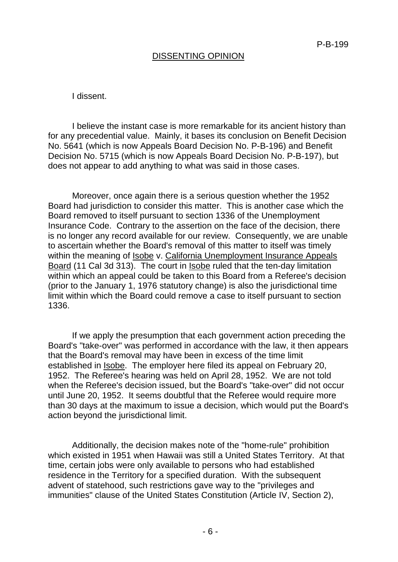#### DISSENTING OPINION

#### I dissent.

I believe the instant case is more remarkable for its ancient history than for any precedential value. Mainly, it bases its conclusion on Benefit Decision No. 5641 (which is now Appeals Board Decision No. P-B-196) and Benefit Decision No. 5715 (which is now Appeals Board Decision No. P-B-197), but does not appear to add anything to what was said in those cases.

Moreover, once again there is a serious question whether the 1952 Board had jurisdiction to consider this matter. This is another case which the Board removed to itself pursuant to section 1336 of the Unemployment Insurance Code. Contrary to the assertion on the face of the decision, there is no longer any record available for our review. Consequently, we are unable to ascertain whether the Board's removal of this matter to itself was timely within the meaning of Isobe v. California Unemployment Insurance Appeals Board (11 Cal 3d 313). The court in Isobe ruled that the ten-day limitation within which an appeal could be taken to this Board from a Referee's decision (prior to the January 1, 1976 statutory change) is also the jurisdictional time limit within which the Board could remove a case to itself pursuant to section 1336.

If we apply the presumption that each government action preceding the Board's "take-over" was performed in accordance with the law, it then appears that the Board's removal may have been in excess of the time limit established in Isobe. The employer here filed its appeal on February 20, 1952. The Referee's hearing was held on April 28, 1952. We are not told when the Referee's decision issued, but the Board's "take-over" did not occur until June 20, 1952. It seems doubtful that the Referee would require more than 30 days at the maximum to issue a decision, which would put the Board's action beyond the jurisdictional limit.

Additionally, the decision makes note of the "home-rule" prohibition which existed in 1951 when Hawaii was still a United States Territory. At that time, certain jobs were only available to persons who had established residence in the Territory for a specified duration. With the subsequent advent of statehood, such restrictions gave way to the "privileges and immunities" clause of the United States Constitution (Article IV, Section 2),